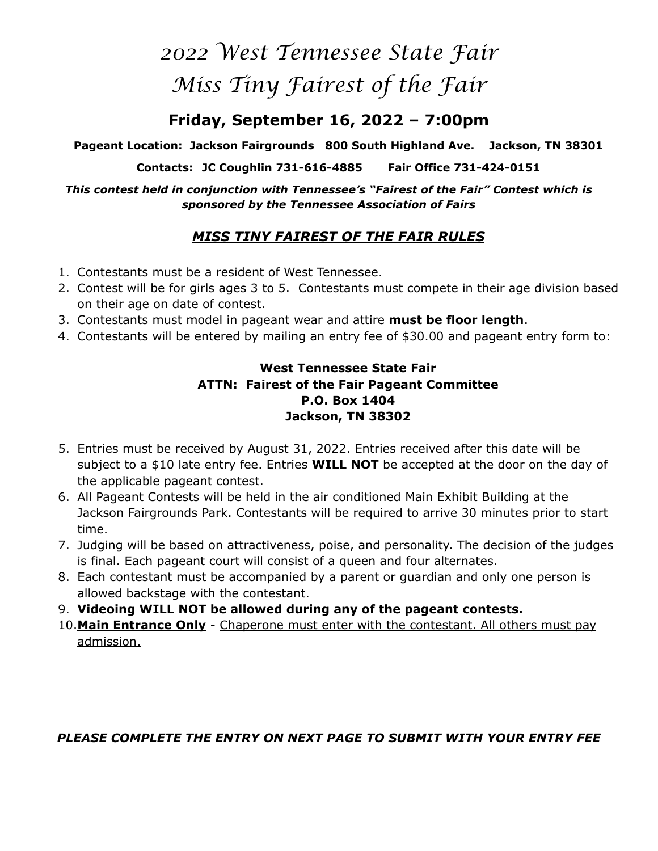# *2022 West Tennessee State Fair Miss Tiny Fairest of the Fair*

## **Friday, September 16, 2022 – 7:00pm**

**Pageant Location: Jackson Fairgrounds 800 South Highland Ave. Jackson, TN 38301** 

**Contacts: JC Coughlin 731-616-4885 Fair Office 731-424-0151** 

*This contest held in conjunction with Tennessee's "Fairest of the Fair" Contest which is sponsored by the Tennessee Association of Fairs* 

### *MISS TINY FAIREST OF THE FAIR RULES*

- 1. Contestants must be a resident of West Tennessee.
- 2. Contest will be for girls ages 3 to 5. Contestants must compete in their age division based on their age on date of contest.
- 3. Contestants must model in pageant wear and attire **must be floor length**.
- 4. Contestants will be entered by mailing an entry fee of \$30.00 and pageant entry form to:

### **West Tennessee State Fair ATTN: Fairest of the Fair Pageant Committee P.O. Box 1404 Jackson, TN 38302**

- 5. Entries must be received by August 31, 2022. Entries received after this date will be subject to a \$10 late entry fee. Entries **WILL NOT** be accepted at the door on the day of the applicable pageant contest.
- 6. All Pageant Contests will be held in the air conditioned Main Exhibit Building at the Jackson Fairgrounds Park. Contestants will be required to arrive 30 minutes prior to start time.
- 7. Judging will be based on attractiveness, poise, and personality. The decision of the judges is final. Each pageant court will consist of a queen and four alternates.
- 8. Each contestant must be accompanied by a parent or guardian and only one person is allowed backstage with the contestant.
- 9. **Videoing WILL NOT be allowed during any of the pageant contests.**
- 10.**Main Entrance Only** Chaperone must enter with the contestant. All others must pay admission.

*PLEASE COMPLETE THE ENTRY ON NEXT PAGE TO SUBMIT WITH YOUR ENTRY FEE*